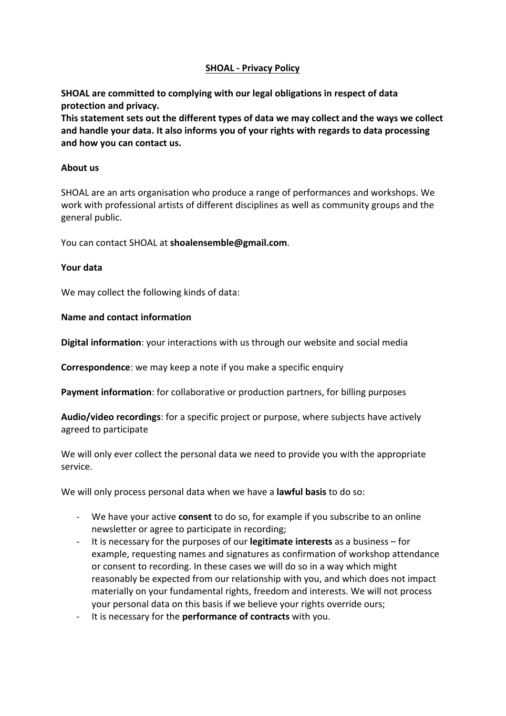# **SHOAL - Privacy Policy**

**SHOAL** are committed to complying with our legal obligations in respect of data protection and privacy.

This statement sets out the different types of data we may collect and the ways we collect and handle your data. It also informs you of your rights with regards to data processing and how you can contact us.

## **About** us

SHOAL are an arts organisation who produce a range of performances and workshops. We work with professional artists of different disciplines as well as community groups and the general public.

You can contact SHOAL at **shoalensemble@gmail.com**.

#### **Your data**

We may collect the following kinds of data:

#### **Name and contact information**

**Digital information**: your interactions with us through our website and social media

**Correspondence:** we may keep a note if you make a specific enquiry

**Payment information**: for collaborative or production partners, for billing purposes

**Audio/video recordings:** for a specific project or purpose, where subjects have actively agreed to participate

We will only ever collect the personal data we need to provide you with the appropriate service.

We will only process personal data when we have a **lawful basis** to do so:

- We have your active **consent** to do so, for example if you subscribe to an online newsletter or agree to participate in recording;
- It is necessary for the purposes of our **legitimate interests** as a business for example, requesting names and signatures as confirmation of workshop attendance or consent to recording. In these cases we will do so in a way which might reasonably be expected from our relationship with you, and which does not impact materially on your fundamental rights, freedom and interests. We will not process your personal data on this basis if we believe your rights override ours;
- It is necessary for the **performance of contracts** with you.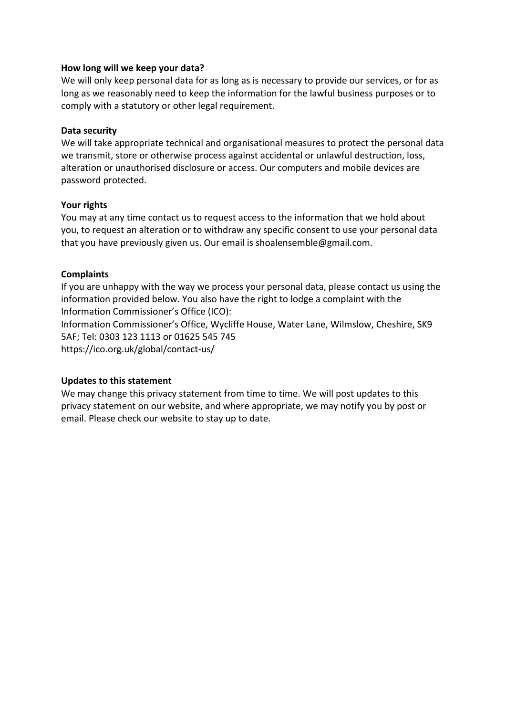## How long will we keep your data?

We will only keep personal data for as long as is necessary to provide our services, or for as long as we reasonably need to keep the information for the lawful business purposes or to comply with a statutory or other legal requirement.

#### **Data security**

We will take appropriate technical and organisational measures to protect the personal data we transmit, store or otherwise process against accidental or unlawful destruction, loss, alteration or unauthorised disclosure or access. Our computers and mobile devices are password protected.

#### Your rights

You may at any time contact us to request access to the information that we hold about you, to request an alteration or to withdraw any specific consent to use your personal data that you have previously given us. Our email is shoalensemble@gmail.com.

#### **Complaints**

If you are unhappy with the way we process your personal data, please contact us using the information provided below. You also have the right to lodge a complaint with the Information Commissioner's Office (ICO):

Information Commissioner's Office, Wycliffe House, Water Lane, Wilmslow, Cheshire, SK9 5AF; Tel: 0303 123 1113 or 01625 545 745 https://ico.org.uk/global/contact-us/

## **Updates to this statement**

We may change this privacy statement from time to time. We will post updates to this privacy statement on our website, and where appropriate, we may notify you by post or email. Please check our website to stay up to date.